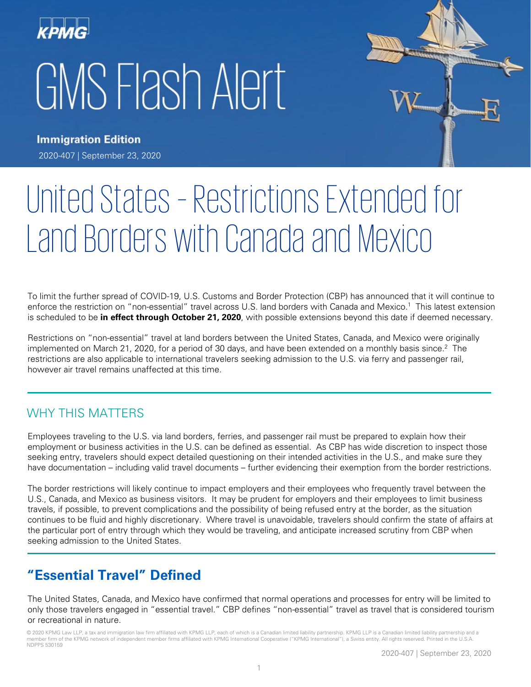



**Immigration Edition** 2020-407 | September 23, 2020

# United States – Restrictions Extended for Land Borders with Canada and Mexico

To limit the further spread of COVID-19, U.S. Customs and Border Protection (CBP) has announced that it will continue to enforce the restriction on "non-essential" travel across U.S. land borders with Canada and Mexico.<sup>1</sup> This latest extension is scheduled to be **in effect through October 21, 2020**, with possible extensions beyond this date if deemed necessary.

Restrictions on "non-essential" travel at land borders between the United States, Canada, and Mexico were originally implemented on March 21, 2020, for a period of 30 days, and have been extended on a monthly basis since.<sup>2</sup> The restrictions are also applicable to international travelers seeking admission to the U.S. via ferry and passenger rail, however air travel remains unaffected at this time.

## WHY THIS MATTERS

Employees traveling to the U.S. via land borders, ferries, and passenger rail must be prepared to explain how their employment or business activities in the U.S. can be defined as essential. As CBP has wide discretion to inspect those seeking entry, travelers should expect detailed questioning on their intended activities in the U.S., and make sure they have documentation – including valid travel documents – further evidencing their exemption from the border restrictions.

The border restrictions will likely continue to impact employers and their employees who frequently travel between the U.S., Canada, and Mexico as business visitors. It may be prudent for employers and their employees to limit business travels, if possible, to prevent complications and the possibility of being refused entry at the border, as the situation continues to be fluid and highly discretionary. Where travel is unavoidable, travelers should confirm the state of affairs at the particular port of entry through which they would be traveling, and anticipate increased scrutiny from CBP when seeking admission to the United States.

# **"Essential Travel" Defined**

The United States, Canada, and Mexico have confirmed that normal operations and processes for entry will be limited to only those travelers engaged in "essential travel." CBP defines "non-essential" travel as travel that is considered tourism or recreational in nature.

© 2020 KPMG Law LLP, a tax and immigration law firm affiliated with KPMG LLP, each of which is a Canadian limited liability partnership. KPMG LLP is a Canadian limited liability partnership and a member firm of the KPMG network of independent member firms affiliated with KPMG International Cooperative ("KPMG International"), a Swiss entity. All rights reserved. Printed in the U.S.A. NDPPS 530159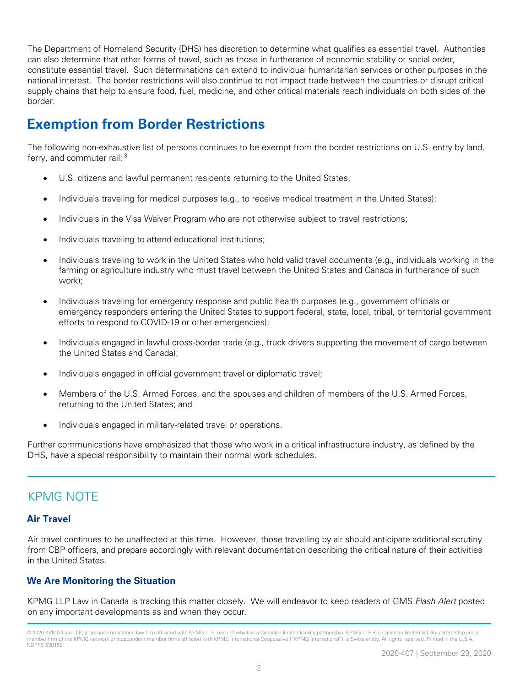The Department of Homeland Security (DHS) has discretion to determine what qualifies as essential travel. Authorities can also determine that other forms of travel, such as those in furtherance of economic stability or social order, constitute essential travel. Such determinations can extend to individual humanitarian services or other purposes in the national interest. The border restrictions will also continue to not impact trade between the countries or disrupt critical supply chains that help to ensure food, fuel, medicine, and other critical materials reach individuals on both sides of the border.

# **Exemption from Border Restrictions**

The following non-exhaustive list of persons continues to be exempt from the border restrictions on U.S. entry by land, ferry, and commuter rail: <sup>3</sup>

- U.S. citizens and lawful permanent residents returning to the United States;
- Individuals traveling for medical purposes (e.g., to receive medical treatment in the United States);
- Individuals in the Visa Waiver Program who are not otherwise subject to travel restrictions;
- Individuals traveling to attend educational institutions;
- Individuals traveling to work in the United States who hold valid travel documents (e.g., individuals working in the farming or agriculture industry who must travel between the United States and Canada in furtherance of such work);
- Individuals traveling for emergency response and public health purposes (e.g., government officials or emergency responders entering the United States to support federal, state, local, tribal, or territorial government efforts to respond to COVID-19 or other emergencies);
- Individuals engaged in lawful cross-border trade (e.g., truck drivers supporting the movement of cargo between the United States and Canada);
- Individuals engaged in official government travel or diplomatic travel;
- Members of the U.S. Armed Forces, and the spouses and children of members of the U.S. Armed Forces, returning to the United States; and
- Individuals engaged in military-related travel or operations.

Further communications have emphasized that those who work in a critical infrastructure industry, as defined by the DHS, have a special responsibility to maintain their normal work schedules.

## KPMG NOTE

### **Air Travel**

Air travel continues to be unaffected at this time. However, those travelling by air should anticipate additional scrutiny from CBP officers, and prepare accordingly with relevant documentation describing the critical nature of their activities in the United States.

## **We Are Monitoring the Situation**

KPMG LLP Law in Canada is tracking this matter closely. We will endeavor to keep readers of GMS Flash Alert posted on any important developments as and when they occur.

<sup>© 2020</sup> KPMG Law LLP, a tax and immigration law firm affiliated with KPMG LLP, each of which is a Canadian limited liability partnership. KPMG LLP is a Canadian limited liability partnership and a member firm of the KPMG network of independent member firms affiliated with KPMG International Cooperative ("KPMG International"), a Swiss entity. All rights reserved. Printed in the U.S.A. NDPPS 530159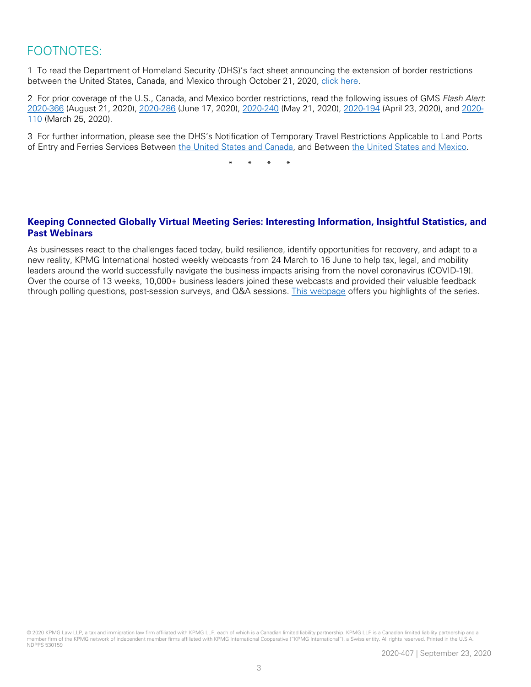# FOOTNOTES:

1 To read the Department of Homeland Security (DHS)'s fact sheet announcing the extension of border restrictions between the United States, Canada, and Mexico through October 21, 2020, [click here.](https://www.dhs.gov/news/2020/09/18/fact-sheet-dhs-measures-border-limit-further-spread-coronavirus)

2 For prior coverage of the U.S., Canada, and Mexico border restrictions, read the following issues of GMS *Flash Alert*: [2020-366](https://home.kpmg/xx/en/home/insights/2020/08/flash-alert-2020-366.html) (August 21, 2020), [2020-286](https://home.kpmg/xx/en/home/insights/2020/06/flash-alert-2020-286.html) (June 17, 2020), [2020-240](https://home.kpmg/xx/en/home/insights/2020/05/flash-alert-2020-240.html) (May 21, 2020), [2020-194](https://home.kpmg/xx/en/home/insights/2020/04/flash-alert-2020-194.html) (April 23, 2020), an[d 2020-](https://home.kpmg/xx/en/home/insights/2020/03/flash-alert-2020-110.html) [110](https://home.kpmg/xx/en/home/insights/2020/03/flash-alert-2020-110.html) (March 25, 2020).

3 For further information, please see the DHS's Notification of Temporary Travel Restrictions Applicable to Land Ports of Entry and Ferries Services Between [the United States and Canada,](https://s3.amazonaws.com/public-inspection.federalregister.gov/2020-18470.pdfhttps:/s3.amazonaws.com/public-inspection.federalregister.gov/2020-18470.pdf) and Between [the United States and Mexico.](https://s3.amazonaws.com/public-inspection.federalregister.gov/2020-18468.pdf)

\* \* \* \*

## **Keeping Connected Globally Virtual Meeting Series: Interesting Information, Insightful Statistics, and Past Webinars**

As businesses react to the challenges faced today, build resilience, identify opportunities for recovery, and adapt to a new reality, KPMG International hosted weekly webcasts from 24 March to 16 June to help tax, legal, and mobility leaders around the world successfully navigate the business impacts arising from the novel coronavirus (COVID-19). Over the course of 13 weeks, 10,000+ business leaders joined these webcasts and provided their valuable feedback through polling questions, post-session surveys, and Q&A sessions. [This webpage](https://home.kpmg/xx/en/home/insights/2020/06/keeping-connected-resources.html?cid=linkd_soc_xx-acx_tax-taxsc&utm_medium=soc&utm_source=linkd&utm_content=xx-acx&utm_campaign=tax-taxsc) offers you highlights of the series.

© 2020 KPMG Law LLP, a tax and immigration law firm affiliated with KPMG LLP, each of which is a Canadian limited liability partnership. KPMG LLP is a Canadian limited liability partnership and a member firm of the KPMG network of independent member firms affiliated with KPMG International Cooperative ("KPMG International"), a Swiss entity. All rights reserved. Printed in the U.S.A. NDPPS 530159